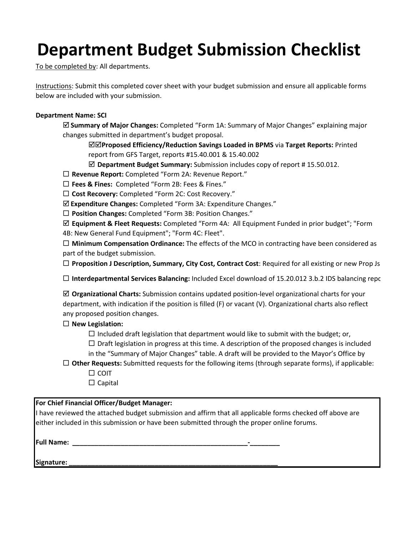# **Department Budget Submission Checklist**

To be completed by: All departments.

Instructions: Submit this completed cover sheet with your budget submission and ensure all applicable forms below are included with your submission.

## **Department Name: SCI**

 **Summary of Major Changes:** Completed "Form 1A: Summary of Major Changes" explaining major changes submitted in department's budget proposal.

**Proposed Efficiency/Reduction Savings Loaded in BPMS** via **Target Reports:** Printed report from GFS Target, reports #15.40.001 & 15.40.002

**Department Budget Summary:** Submission includes copy of report # 15.50.012.

**Revenue Report:** Completed "Form 2A: Revenue Report."

**Fees & Fines:** Completed "Form 2B: Fees & Fines."

**Cost Recovery:** Completed "Form 2C: Cost Recovery."

**Expenditure Changes:** Completed "Form 3A: Expenditure Changes."

**Position Changes:** Completed "Form 3B: Position Changes."

 **Equipment & Fleet Requests:** Completed "Form 4A: All Equipment Funded in prior budget"; "Form 4B: New General Fund Equipment"; "Form 4C: Fleet".

 **Minimum Compensation Ordinance:** The effects of the MCO in contracting have been considered as part of the budget submission.

**Proposition J Description, Summary, City Cost, Contract Cost**: Required for all existing or new Prop Js

**Interdepartmental Services Balancing:** Included Excel download of 15.20.012 3.b.2 IDS balancing repo

 **Organizational Charts:** Submission contains updated position-level organizational charts for your department, with indication if the position is filled (F) or vacant (V). Organizational charts also reflect any proposed position changes.

## **New Legislation:**

 $\square$  Included draft legislation that department would like to submit with the budget; or,

 $\Box$  Draft legislation in progress at this time. A description of the proposed changes is included in the "Summary of Major Changes" table. A draft will be provided to the Mayor's Office by

- **Other Requests:** Submitted requests for the following items (through separate forms), if applicable:  $\Box$  COIT
	- $\Box$  Capital

## **For Chief Financial Officer/Budget Manager:**

I have reviewed the attached budget submission and affirm that all applicable forms checked off above are either included in this submission or have been submitted through the proper online forums.

**Full Name: \_\_\_\_\_\_\_\_\_\_\_\_\_\_\_\_\_\_\_\_\_\_\_\_\_\_\_\_\_\_\_\_\_\_\_\_\_\_\_\_\_\_\_\_\_\_\_\_\_\_\_\_\_\_\_**

Signature: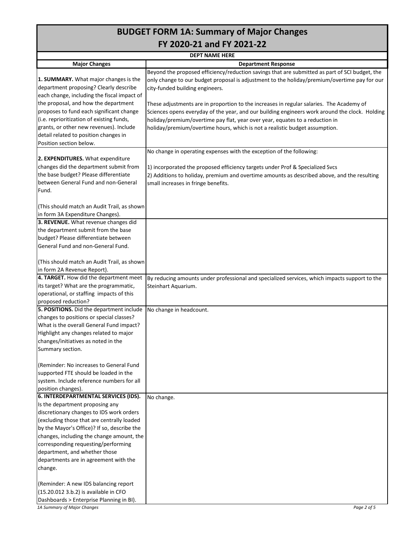## **BUDGET FORM 1A: Summary of Major Changes FY 2020-21 and FY 2021-22**

|                                                            | <b>DEPT NAME HERE</b>                                                                          |
|------------------------------------------------------------|------------------------------------------------------------------------------------------------|
| <b>Major Changes</b>                                       | <b>Department Response</b>                                                                     |
|                                                            | Beyond the proposed efficiency/reduction savings that are submitted as part of SCI budget, the |
| 1. SUMMARY. What major changes is the                      | only change to our budget proposal is adjustment to the holiday/premium/overtime pay for our   |
| department proposing? Clearly describe                     | city-funded building engineers.                                                                |
| each change, including the fiscal impact of                |                                                                                                |
| the proposal, and how the department                       | These adjustments are in proportion to the increases in regular salaries. The Academy of       |
| proposes to fund each significant change                   | Sciences opens everyday of the year, and our building engineers work around the clock. Holding |
| (i.e. reprioritization of existing funds,                  | holiday/premium/overtime pay flat, year over year, equates to a reduction in                   |
| grants, or other new revenues). Include                    | holiday/premium/overtime hours, which is not a realistic budget assumption.                    |
| detail related to position changes in                      |                                                                                                |
| Position section below.                                    |                                                                                                |
|                                                            | No change in operating expenses with the exception of the following:                           |
| 2. EXPENDITURES. What expenditure                          |                                                                                                |
| changes did the department submit from                     | 1) incorporated the proposed efficiency targets under Prof & Specialized Svcs                  |
| the base budget? Please differentiate                      | 2) Additions to holiday, premium and overtime amounts as described above, and the resulting    |
| between General Fund and non-General                       | small increases in fringe benefits.                                                            |
| Fund.                                                      |                                                                                                |
|                                                            |                                                                                                |
| (This should match an Audit Trail, as shown                |                                                                                                |
| in form 3A Expenditure Changes).                           |                                                                                                |
| 3. REVENUE. What revenue changes did                       |                                                                                                |
| the department submit from the base                        |                                                                                                |
| budget? Please differentiate between                       |                                                                                                |
| General Fund and non-General Fund.                         |                                                                                                |
|                                                            |                                                                                                |
| (This should match an Audit Trail, as shown                |                                                                                                |
| in form 2A Revenue Report).                                |                                                                                                |
| 4. TARGET. How did the department meet                     | By reducing amounts under professional and specialized services, which impacts support to the  |
| its target? What are the programmatic,                     | Steinhart Aquarium.                                                                            |
| operational, or staffing impacts of this                   |                                                                                                |
| proposed reduction?                                        |                                                                                                |
| 5. POSITIONS. Did the department include                   | No change in headcount.                                                                        |
| changes to positions or special classes?                   |                                                                                                |
| What is the overall General Fund impact?                   |                                                                                                |
| Highlight any changes related to major                     |                                                                                                |
| changes/initiatives as noted in the                        |                                                                                                |
| Summary section.                                           |                                                                                                |
|                                                            |                                                                                                |
| (Reminder: No increases to General Fund                    |                                                                                                |
| supported FTE should be loaded in the                      |                                                                                                |
| system. Include reference numbers for all                  |                                                                                                |
| position changes).<br>6. INTERDEPARTMENTAL SERVICES (IDS). |                                                                                                |
|                                                            | No change.                                                                                     |
| Is the department proposing any                            |                                                                                                |
| discretionary changes to IDS work orders                   |                                                                                                |
| (excluding those that are centrally loaded                 |                                                                                                |
| by the Mayor's Office)? If so, describe the                |                                                                                                |
| changes, including the change amount, the                  |                                                                                                |
| corresponding requesting/performing                        |                                                                                                |
| department, and whether those                              |                                                                                                |
| departments are in agreement with the                      |                                                                                                |
| change.                                                    |                                                                                                |
|                                                            |                                                                                                |
| (Reminder: A new IDS balancing report                      |                                                                                                |
| (15.20.012 3.b.2) is available in CFO                      |                                                                                                |
| Dashboards > Enterprise Planning in BI).                   |                                                                                                |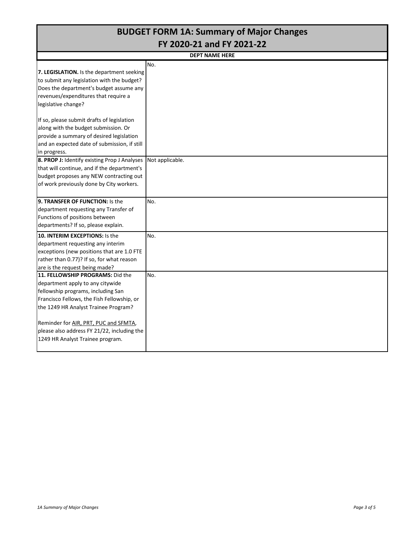|                                                                                                                                                                                                   | <b>BUDGET FORM 1A: Summary of Major Changes</b> |
|---------------------------------------------------------------------------------------------------------------------------------------------------------------------------------------------------|-------------------------------------------------|
|                                                                                                                                                                                                   | FY 2020-21 and FY 2021-22                       |
|                                                                                                                                                                                                   | <b>DEPT NAME HERE</b>                           |
| 7. LEGISLATION. Is the department seeking<br>to submit any legislation with the budget?<br>Does the department's budget assume any<br>revenues/expenditures that require a<br>legislative change? | No.                                             |
| If so, please submit drafts of legislation<br>along with the budget submission. Or<br>provide a summary of desired legislation<br>and an expected date of submission, if still<br>in progress.    |                                                 |
| 8. PROP J: Identify existing Prop J Analyses<br>that will continue, and if the department's<br>budget proposes any NEW contracting out<br>of work previously done by City workers.                | Not applicable.                                 |
| 9. TRANSFER OF FUNCTION: Is the<br>department requesting any Transfer of<br>Functions of positions between<br>departments? If so, please explain.                                                 | No.                                             |
| 10. INTERIM EXCEPTIONS: Is the<br>department requesting any interim<br>exceptions (new positions that are 1.0 FTE<br>rather than 0.77)? If so, for what reason<br>are is the request being made?  | No.                                             |
| 11. FELLOWSHIP PROGRAMS: Did the<br>department apply to any citywide<br>fellowship programs, including San<br>Francisco Fellows, the Fish Fellowship, or<br>the 1249 HR Analyst Trainee Program?  | No.                                             |
| Reminder for AIR, PRT, PUC and SFMTA,<br>please also address FY 21/22, including the<br>1249 HR Analyst Trainee program.                                                                          |                                                 |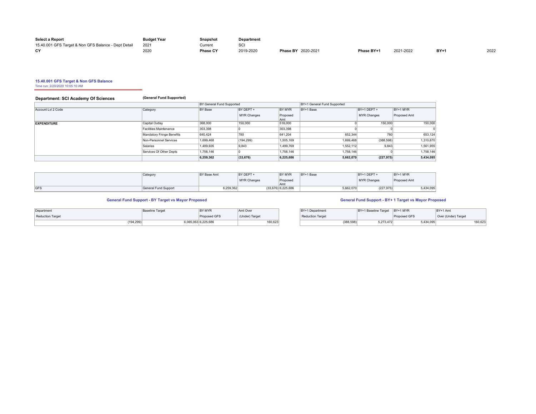| <b>Select a Report</b>                               | <b>Budget Year</b> | Snapshot | Department |                           |            |           |     |      |
|------------------------------------------------------|--------------------|----------|------------|---------------------------|------------|-----------|-----|------|
| 15.40.001 GFS Target & Non GFS Balance - Dept Detail | 2021               | Current  | SC         |                           |            |           |     |      |
| CY                                                   | 2020               | Phase CY | 2019-2020  | <b>Phase BY 2020-2021</b> | Phase BY+1 | 2021-2022 | BY+ | 2022 |

**15.40.001 GFS Target & Non GFS Balance** Time run: 2/20/2020 10:05:10 AM

## **Department: SCI Academy Of Sciences (General Fund Supported)**

|                    |                           | BY General Fund Supported |                    |                 | BY+1 General Fund Supported |                    |              |
|--------------------|---------------------------|---------------------------|--------------------|-----------------|-----------------------------|--------------------|--------------|
| Account Lvl 2 Code | Category                  | BY Base                   | BY DEPT +          | BY MYR          | BY+1 Base                   | $BY+1$ DFPT +      | BY+1 MYR     |
|                    |                           |                           | <b>MYR Changes</b> | Proposed<br>Amt |                             | <b>MYR Changes</b> | Proposed Amt |
| <b>EXPENDITURE</b> | Capital Outlay            | 368,000                   | 150,000            | 518,000         |                             | 150,000            | 150,000      |
|                    | Facilities Maintenance    | 303,398                   |                    | 303,398         |                             |                    |              |
|                    | Mandatory Fringe Benefits | 640,424                   | 780                | 641.204         | 652.344                     | 780                | 653,124      |
|                    | Non-Personnel Services    | 1,699,468                 | (194, 299)         | 1,505,169       | 1,699,468                   | (388, 598)         | 1,310,870    |
|                    | Salaries                  | 1,489,926                 | 9,843              | 1,499,769       | 1.552.112                   | 9.843              | 1,561,955    |
|                    | Services Of Other Depts   | 1,758,146                 |                    | 1,758,146       | 1.758.146                   |                    | 1,758,146    |
|                    |                           | 6,259,362                 | (33, 676)          | 6,225,686       | 5,662,070                   | (227, 975)         | 5,434,095    |
|                    |                           |                           |                    |                 |                             |                    |              |

|     | Category             | BY Base Amt | BY DEPT +   | BY MYR                    | BY+1 Base | BY+1 DEPT +        | BY+1 MYR     |
|-----|----------------------|-------------|-------------|---------------------------|-----------|--------------------|--------------|
|     |                      |             | MYR Changes | Proposed<br><b>Amt</b>    |           | <b>MYR Changes</b> | Proposed Amt |
| GFS | General Fund Support | 6,259,362   |             | $(33,676)$ 6,225,686<br>. | 5,662,070 | (227, 975)         | 5,434,095    |

### **General Fund Support - BY Target vs Mayor Proposed General Fund Support - BY+ 1 Target vs Mayor Proposed**

| Department              | <b>Baseline Target</b> | BY MYR       | Amt Over       | BY+1 Department         | BY+1 Baseline Target BY+1 MYR |              | BY+1 Amt            |
|-------------------------|------------------------|--------------|----------------|-------------------------|-------------------------------|--------------|---------------------|
| <b>Reduction Target</b> |                        | Proposed GFS | (Under) Target | <b>Reduction Target</b> |                               | Proposed GFS | Over (Under) Target |
| (194, 299)              |                        | 6,225,686    | 160,623        | (388, 598)              | 5,273,472                     | 5,434,095    |                     |

|            | <b>Baseline Target</b> | <b>BY MYR</b>       | Amt Over       | BY+1 Department  | BY+1 Baseline Target BY+1 MYR |                     | BY+1 Amt            |         |
|------------|------------------------|---------------------|----------------|------------------|-------------------------------|---------------------|---------------------|---------|
|            |                        | Proposed GFS        | (Under) Target | Reduction Target |                               | <b>Proposed GFS</b> | Over (Under) Target |         |
| (194, 299) |                        | 6,065,063 6,225,686 | 160,623        | (388, 598)       | 5,273,472                     | 5,434,095           |                     | 160,623 |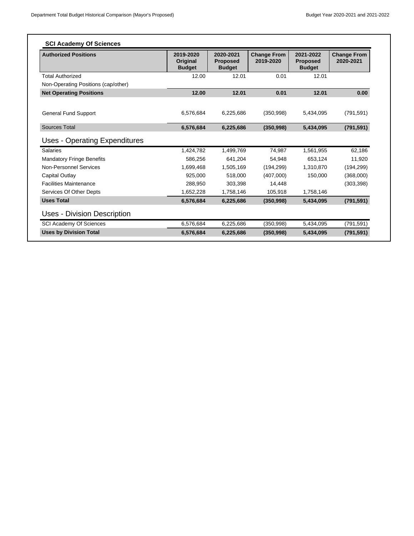| <b>Authorized Positions</b>          | 2019-2020<br><b>Original</b><br><b>Budget</b> | 2020-2021<br><b>Proposed</b><br><b>Budget</b> | <b>Change From</b><br>2019-2020 | 2021-2022<br><b>Proposed</b><br><b>Budget</b> | <b>Change From</b><br>2020-2021 |
|--------------------------------------|-----------------------------------------------|-----------------------------------------------|---------------------------------|-----------------------------------------------|---------------------------------|
| <b>Total Authorized</b>              | 12.00                                         | 12.01                                         | 0.01                            | 12.01                                         |                                 |
| Non-Operating Positions (cap/other)  |                                               |                                               |                                 |                                               |                                 |
| <b>Net Operating Positions</b>       | 12.00                                         | 12.01                                         | 0.01                            | 12.01                                         | 0.00                            |
| <b>General Fund Support</b>          | 6,576,684                                     | 6,225,686                                     | (350, 998)                      | 5,434,095                                     | (791, 591)                      |
| Sources Total                        | 6,576,684                                     | 6,225,686                                     | (350, 998)                      | 5,434,095                                     | (791, 591)                      |
| <b>Uses - Operating Expenditures</b> |                                               |                                               |                                 |                                               |                                 |
| <b>Salaries</b>                      | 1,424,782                                     | 1,499,769                                     | 74,987                          | 1,561,955                                     | 62,186                          |
| <b>Mandatory Fringe Benefits</b>     | 586,256                                       | 641,204                                       | 54,948                          | 653,124                                       | 11,920                          |
| Non-Personnel Services               | 1,699,468                                     | 1,505,169                                     | (194, 299)                      | 1,310,870                                     | (194, 299)                      |
| Capital Outlay                       | 925.000                                       | 518,000                                       | (407,000)                       | 150,000                                       | (368,000)                       |
| <b>Facilities Maintenance</b>        | 288.950                                       | 303.398                                       | 14.448                          |                                               | (303, 398)                      |
| Services Of Other Depts              | 1,652,228                                     | 1,758,146                                     | 105,918                         | 1,758,146                                     |                                 |
| <b>Uses Total</b>                    | 6,576,684                                     | 6,225,686                                     | (350, 998)                      | 5,434,095                                     | (791, 591)                      |
| Uses - Division Description          |                                               |                                               |                                 |                                               |                                 |
| <b>SCI Academy Of Sciences</b>       | 6,576,684                                     | 6,225,686                                     | (350,998)                       | 5,434,095                                     | (791, 591)                      |
| <b>Uses by Division Total</b>        | 6,576,684                                     | 6,225,686                                     | (350, 998)                      | 5,434,095                                     | (791, 591)                      |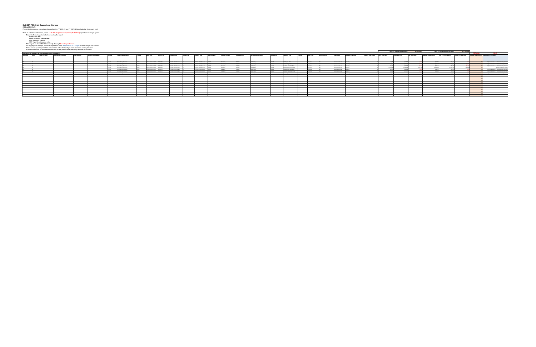**BUDGET FORM 3A: Expenditure Changes**<br>DEPARTMENT: \_\_\_\_\_\_<br>Please identify proposed expenditure changes from the FY 2020-21 and FY 2021-22 Base Budget at the account level.

**Now the information, the the SL-SU and Septent Comparison (Audit I rain) report from the cudget system.**<br>
See the following criticia before training the report:<br>
Clearly and the comparison of the Shaphot: Clearly distribu

|                 |      |                                                               |                             | the contract of the contract of the contract of the contract of the contract of the contract of the contract of |                            |         |                            |         |                        |                                 |                           |                    |                           |              |                        |               |                    |            |                              |                   |                     |                           |                   |                         |                       | <b>Total BY Expenditure Variance:</b> | 183,676,00   |                                       | Total BY+1 Expenditure Variance: | 377.975.0         |                 |                                                      |
|-----------------|------|---------------------------------------------------------------|-----------------------------|-----------------------------------------------------------------------------------------------------------------|----------------------------|---------|----------------------------|---------|------------------------|---------------------------------|---------------------------|--------------------|---------------------------|--------------|------------------------|---------------|--------------------|------------|------------------------------|-------------------|---------------------|---------------------------|-------------------|-------------------------|-----------------------|---------------------------------------|--------------|---------------------------------------|----------------------------------|-------------------|-----------------|------------------------------------------------------|
|                 |      | Budget System Report 15.30.005 filtered on Gross Expenditures |                             |                                                                                                                 |                            |         |                            |         |                        |                                 |                           |                    |                           |              |                        |               |                    |            |                              |                   |                     |                           |                   |                         |                       |                                       |              |                                       |                                  |                   | <b>CORALLIA</b> | <b>FILL IN</b>                                       |
| <b>GFS Type</b> | Dept | <b>Dept Division</b>                                          | <b>Division Description</b> | <b>Dept Section</b>                                                                                             | <b>Section Description</b> | Dept ID | <b>Dept ID Description</b> | Fund ID | <b>Fund Title</b>      | Project ID                      | <b>Project Title</b>      | <b>Activity ID</b> | <b>Activity Title</b>     | Authority ID | <b>Authority Title</b> | Account Lvl 5 | Account Lvl 5 Name | Account ID | <b>Account Title</b>         | <b>TRIO Title</b> | <b>AAO Category</b> | AAO Title                 | Change Type Title | <b>Change Type Code</b> | <b>Start Dept Amt</b> | <b>End Dept Amt</b>                   | Var Dept Amt | Start BY+1 Dept Amt End BY+1 Dept Amt |                                  | Var BY+1 Dept Amt |                 | Change submittted? Explanation of Change             |
|                 |      |                                                               |                             |                                                                                                                 |                            |         |                            |         |                        |                                 |                           |                    |                           |              |                        |               |                    |            |                              |                   |                     |                           |                   |                         |                       |                                       |              |                                       |                                  |                   |                 |                                                      |
|                 |      |                                                               |                             |                                                                                                                 |                            |         | SCI Academy Of Sciences    |         |                        | GF Annual Account Ctrl 10026790 | SC Public Art and Culture |                    | SC Public Art and Culture |              |                        |               |                    |            | Holiday Pay - Misc           |                   |                     | Gross Expenditures        |                   |                         |                       |                                       |              |                                       |                                  |                   |                 | Adjusted as a result of anticipated salary increases |
|                 |      |                                                               |                             |                                                                                                                 |                            |         | SCI Academy Of Sciences    |         | GF Annual Account Ctrl | 10026790                        | SC Public Art and Culture |                    | SC Public Art and Culture |              | Operating              |               |                    |            | Premium Pay - Mixd           | Umpecified        |                     | Gross Expenditures        |                   |                         |                       |                                       |              |                                       |                                  |                   |                 | Adjusted as a result of anticipated salary increases |
|                 |      |                                                               |                             |                                                                                                                 |                            |         | SCI Academy Of Sciences    |         |                        | GF Annual Account Ctrl 10026790 | SC Public Art and Culture |                    | SC Public Art and Culture |              |                        |               |                    |            | Overtime - Scheduled Misc    | narifiad          |                     | Gross Expenditures        |                   |                         |                       |                                       |              |                                       |                                  |                   |                 | Adjusted as a result of anticipated salary increases |
|                 |      |                                                               |                             |                                                                                                                 |                            |         | SCI Academy Of Sciences    |         |                        | GF Annual Account Ctrl 10026790 | SC Public Art and Culture |                    | SC Public Art and Culture |              | Onaratin               |               |                    |            | of & Specialized Sycs-Bdet   | mpecified         |                     | Gross Expenditures        |                   |                         |                       |                                       |              |                                       |                                  |                   |                 | Efficiency/reductions savings                        |
|                 |      |                                                               |                             |                                                                                                                 |                            |         | SCI Academy Of Sciences    |         | F Annual Account Ctrl  | 10020200                        | SC Public Art and Culture |                    | SC Public Art and Culture |              |                        |               |                    |            | cial Security (Oasdi & HI)   |                   |                     | ss Darenditures           |                   |                         |                       |                                       |              |                                       |                                  |                   |                 | Adjusted as a result of anticipated salary increases |
|                 |      |                                                               |                             |                                                                                                                 |                            |         | SCI Academy Of Sciences    |         |                        | GF Annual Account Ctrl 10026790 | SC Public Art and Culture |                    | SC Public Art and Culture |              |                        |               |                    |            | Social Sec-Medicare(H) Only) | beltonomi         |                     | Gross Expenditures        |                   |                         |                       |                                       |              |                                       |                                  |                   |                 | Adjusted as a result of anticipated salary increases |
|                 |      |                                                               |                             |                                                                                                                 |                            |         | SCI Academy Of Sciences    |         |                        | GF Annual Account Ctrl 10026790 | SC Public Art and Culture |                    | SC Public Art and Culture |              |                        |               |                    |            | sansalovment Insurance       | helbour           |                     | <b>Gross Expenditures</b> |                   |                         |                       |                                       |              |                                       |                                  |                   |                 | Adjusted as a result of anticipated salary increases |
|                 |      |                                                               |                             |                                                                                                                 |                            |         |                            |         |                        |                                 |                           |                    |                           |              |                        |               |                    |            |                              |                   |                     |                           |                   |                         |                       |                                       |              |                                       |                                  |                   |                 |                                                      |
|                 |      |                                                               |                             |                                                                                                                 |                            |         |                            |         |                        |                                 |                           |                    |                           |              |                        |               |                    |            |                              |                   |                     |                           |                   |                         |                       |                                       |              |                                       |                                  |                   |                 |                                                      |
|                 |      |                                                               |                             |                                                                                                                 |                            |         |                            |         |                        |                                 |                           |                    |                           |              |                        |               |                    |            |                              |                   |                     |                           |                   |                         |                       |                                       |              |                                       |                                  |                   |                 |                                                      |
|                 |      |                                                               |                             |                                                                                                                 |                            |         |                            |         |                        |                                 |                           |                    |                           |              |                        |               |                    |            |                              |                   |                     |                           |                   |                         |                       |                                       |              |                                       |                                  |                   |                 |                                                      |
|                 |      |                                                               |                             |                                                                                                                 |                            |         |                            |         |                        |                                 |                           |                    |                           |              |                        |               |                    |            |                              |                   |                     |                           |                   |                         |                       |                                       |              |                                       |                                  |                   |                 |                                                      |
|                 |      |                                                               |                             |                                                                                                                 |                            |         |                            |         |                        |                                 |                           |                    |                           |              |                        |               |                    |            |                              |                   |                     |                           |                   |                         |                       |                                       |              |                                       |                                  |                   |                 |                                                      |
|                 |      |                                                               |                             |                                                                                                                 |                            |         |                            |         |                        |                                 |                           |                    |                           |              |                        |               |                    |            |                              |                   |                     |                           |                   |                         |                       |                                       |              |                                       |                                  |                   |                 |                                                      |
|                 |      |                                                               |                             |                                                                                                                 |                            |         |                            |         |                        |                                 |                           |                    |                           |              |                        |               |                    |            |                              |                   |                     |                           |                   |                         |                       |                                       |              |                                       |                                  |                   |                 |                                                      |
|                 |      |                                                               |                             |                                                                                                                 |                            |         |                            |         |                        |                                 |                           |                    |                           |              |                        |               |                    |            |                              |                   |                     |                           |                   |                         |                       |                                       |              |                                       |                                  |                   |                 |                                                      |
|                 |      |                                                               |                             |                                                                                                                 |                            |         |                            |         |                        |                                 |                           |                    |                           |              |                        |               |                    |            |                              |                   |                     |                           |                   |                         |                       |                                       |              |                                       |                                  |                   |                 |                                                      |
|                 |      |                                                               |                             |                                                                                                                 |                            |         |                            |         |                        |                                 |                           |                    |                           |              |                        |               |                    |            |                              |                   |                     |                           |                   |                         |                       |                                       |              |                                       |                                  |                   |                 |                                                      |
|                 |      |                                                               |                             |                                                                                                                 |                            |         |                            |         |                        |                                 |                           |                    |                           |              |                        |               |                    |            |                              |                   |                     |                           |                   |                         |                       |                                       |              |                                       |                                  |                   |                 |                                                      |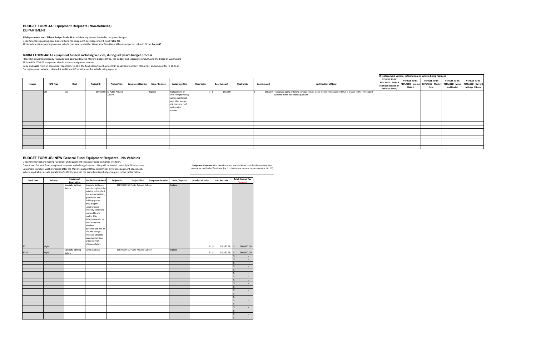### **BUDGET FORM 4A: Equipment Requests (Non-Vehicles)** DEPARTMENT:

**All departments must fill out Budget Table 4A** to validate equipment funded in last year's budget.

Departments requesting *new G*eneral Fund for equipment purchases must fill out **Table 4B.**<br>All departments requesting to make vehicle purchases - whether General or Non-General Fund-supported - should fill out **Form 4C.** 

## **BUDGET FORM 4A: All equipment funded, including vehicles, during last year's budget process**

Please list equipment already reviewed and approved by the Mayor's Budget Office, the Budget and Legislative Analyst, and the Board of Supervisors All listed FY 2020-21 equipment should have an equipment number.

Copy and paste from an equipment report (15.10.003) the fund, department, project ID, equipment number, title, units, and amount for FY 2020-21. For replacement vehicles, please list additional information on the vehicle being replaced.

Departments that are making General Fund equipment requests should complete this form. Do not load General Fund equipment requests in the budget system - they will be loaded centrally in Mayor phase.<br>Equipment numbers will be finalized after the Mayor's Budget Office determines citywide equipment allocations

|        |                 |      |                   |                                       |                                              |         |                                                                                                                                      |                   |                    |                   |                    |                                                                                                                                                      |                                                                | If replacement vehicle, information on vehicle being replaced                                                                                   |                                   |                                                                             |
|--------|-----------------|------|-------------------|---------------------------------------|----------------------------------------------|---------|--------------------------------------------------------------------------------------------------------------------------------------|-------------------|--------------------|-------------------|--------------------|------------------------------------------------------------------------------------------------------------------------------------------------------|----------------------------------------------------------------|-------------------------------------------------------------------------------------------------------------------------------------------------|-----------------------------------|-----------------------------------------------------------------------------|
| Source | <b>GFS Type</b> | Dept | <b>Project ID</b> |                                       | Project Title Equipment Number New / Replace |         | <b>Equipment Title</b>                                                                                                               | <b>Base Units</b> | <b>Base Amount</b> | <b>Dept Units</b> | <b>Dept Amount</b> | <b>Justification of Need</b>                                                                                                                         | <b>VEHICLE TO BE</b><br>(number decaled on<br>vehicle's doors) | <b>VEHICLE TO BE</b><br><b>VEHICLE TO BE</b><br>REPLACED - Asset # REPLACED - License   REPLACED - Model   REPLACED - Make '<br>Plate #<br>Year | <b>VEHICLE TO BE</b><br>and Model | <b>VEHICLE TO BE</b><br><b>REPLACED - Current</b><br><b>Mileage / Hours</b> |
|        | GFS             |      |                   | 10026790 SC Public Art and<br>Culture |                                              | Replace | Replacement of<br>coral reef jet mixing<br>pumps, rainforest<br>sand filter pumps,<br>and the coral reef<br>fractionator<br>booster. |                   | 150,000            |                   |                    | 150,000 To replace aging or failing components of water treatment equipment that is crucial to the life support<br>systems of the Steinhart Aquarium |                                                                |                                                                                                                                                 |                                   |                                                                             |
|        |                 |      |                   |                                       |                                              |         |                                                                                                                                      |                   |                    |                   |                    |                                                                                                                                                      |                                                                |                                                                                                                                                 |                                   |                                                                             |
|        |                 |      |                   |                                       |                                              |         |                                                                                                                                      |                   |                    |                   |                    |                                                                                                                                                      |                                                                |                                                                                                                                                 |                                   |                                                                             |
|        |                 |      |                   |                                       |                                              |         |                                                                                                                                      |                   |                    |                   |                    |                                                                                                                                                      |                                                                |                                                                                                                                                 |                                   |                                                                             |
|        |                 |      |                   |                                       |                                              |         |                                                                                                                                      |                   |                    |                   |                    |                                                                                                                                                      |                                                                |                                                                                                                                                 |                                   |                                                                             |
|        |                 |      |                   |                                       |                                              |         |                                                                                                                                      |                   |                    |                   |                    |                                                                                                                                                      |                                                                |                                                                                                                                                 |                                   |                                                                             |
|        |                 |      |                   |                                       |                                              |         |                                                                                                                                      |                   |                    |                   |                    |                                                                                                                                                      |                                                                |                                                                                                                                                 |                                   |                                                                             |
|        |                 |      |                   |                                       |                                              |         |                                                                                                                                      |                   |                    |                   |                    |                                                                                                                                                      |                                                                |                                                                                                                                                 |                                   |                                                                             |
|        |                 |      |                   |                                       |                                              |         |                                                                                                                                      |                   |                    |                   |                    |                                                                                                                                                      |                                                                |                                                                                                                                                 |                                   |                                                                             |
|        |                 |      |                   |                                       |                                              |         |                                                                                                                                      |                   |                    |                   |                    |                                                                                                                                                      |                                                                |                                                                                                                                                 |                                   |                                                                             |
|        |                 |      |                   |                                       |                                              |         |                                                                                                                                      |                   |                    |                   |                    |                                                                                                                                                      |                                                                |                                                                                                                                                 |                                   |                                                                             |

**Equipment Numbers**: First two characters are two-letter code for department, next two are second half of fiscal year (i.e. 21), last to are sequencing numbers (i.e. 01, 02)

## **BUDGET FORM 4B: NEW General Fund Equipment Requests - No Vehicles**

| <b>Fiscal Year</b> | Priority | Equipment<br>Description | <b>Justification of Need</b> | Project ID | <b>Project Title</b>               | <b>Equipment Number</b> | New / Replace | <b>Number of Units</b> | <b>Cost Per Unit</b>           | Total Cost w/ Tax<br>(formula)                 |
|--------------------|----------|--------------------------|------------------------------|------------|------------------------------------|-------------------------|---------------|------------------------|--------------------------------|------------------------------------------------|
|                    |          | Specialty lighting       | Specialty lights are         |            | 10026790 SC Public Art and Culture |                         | Replace       |                        |                                |                                                |
|                    |          | fixture                  | used throughout the          |            |                                    |                         |               |                        |                                |                                                |
|                    |          |                          | building in live plant       |            |                                    |                         |               |                        |                                |                                                |
|                    |          |                          | and animal exhibits,         |            |                                    |                         |               |                        |                                |                                                |
|                    |          |                          | quarantine and               |            |                                    |                         |               |                        |                                |                                                |
|                    |          |                          | holding spaces,              |            |                                    |                         |               |                        |                                |                                                |
|                    |          |                          | providing the                |            |                                    |                         |               |                        |                                |                                                |
|                    |          |                          | spectrum and                 |            |                                    |                         |               |                        |                                |                                                |
|                    |          |                          | intensity needed to          |            |                                    |                         |               |                        |                                |                                                |
|                    |          |                          | sustain life and             |            |                                    |                         |               |                        |                                |                                                |
|                    |          |                          | health. This                 |            |                                    |                         |               |                        |                                |                                                |
|                    |          |                          | \$150,000 would be           |            |                                    |                         |               |                        |                                |                                                |
|                    |          |                          | used to replace              |            |                                    |                         |               |                        |                                |                                                |
|                    |          |                          | obsolete,                    |            |                                    |                         |               |                        |                                |                                                |
|                    |          |                          | discontinued end-of-         |            |                                    |                         |               |                        |                                |                                                |
|                    |          |                          | life, and energy-            |            |                                    |                         |               |                        |                                |                                                |
|                    |          |                          | intensive specialty          |            |                                    |                         |               |                        |                                |                                                |
|                    |          |                          | aquarium lighting            |            |                                    |                         |               |                        |                                |                                                |
|                    |          |                          | with new high-               |            |                                    |                         |               |                        |                                |                                                |
|                    |          |                          | efficiency lights            |            |                                    |                         |               |                        |                                |                                                |
| BY                 | High     |                          |                              |            |                                    |                         |               |                        | 9 <sup>5</sup><br>15,360.98 \$ | 150,000.00                                     |
|                    |          | Specialty lighting       | Same as above                |            | 10026790 SC Public Art and Culture |                         | Replace       |                        |                                |                                                |
| $BY+1$             | High     | fixture                  |                              |            |                                    |                         |               |                        | 9 <sup>5</sup><br>15,360.98 \$ | 150,000.00                                     |
|                    |          |                          |                              |            |                                    |                         |               |                        |                                | $\zeta$<br>$\overline{\phantom{a}}$            |
|                    |          |                          |                              |            |                                    |                         |               |                        |                                | Ś<br>$\sim$                                    |
|                    |          |                          |                              |            |                                    |                         |               |                        |                                | $\zeta$<br>$\sim$                              |
|                    |          |                          |                              |            |                                    |                         |               |                        |                                | $\zeta$<br>$\sim$                              |
|                    |          |                          |                              |            |                                    |                         |               |                        |                                | $\zeta$<br>$\sim$                              |
|                    |          |                          |                              |            |                                    |                         |               |                        |                                | $\zeta$<br>$\sim$                              |
|                    |          |                          |                              |            |                                    |                         |               |                        |                                | $\dot{\mathsf{S}}$<br>$\sim$                   |
|                    |          |                          |                              |            |                                    |                         |               |                        |                                | $\zeta$<br>$\sim$                              |
|                    |          |                          |                              |            |                                    |                         |               |                        |                                | $\zeta$<br>$\sim$                              |
|                    |          |                          |                              |            |                                    |                         |               |                        |                                | $\zeta$<br>$\sim$                              |
|                    |          |                          |                              |            |                                    |                         |               |                        |                                | $\zeta$<br>$\sim$                              |
|                    |          |                          |                              |            |                                    |                         |               |                        |                                | $\zeta$<br>$\sim$                              |
|                    |          |                          |                              |            |                                    |                         |               |                        |                                | $\zeta$<br>$\sim$                              |
|                    |          |                          |                              |            |                                    |                         |               |                        |                                | $\zeta$<br>$\sim$                              |
|                    |          |                          |                              |            |                                    |                         |               |                        |                                | $\overline{\mathsf{S}}$<br>$\sim$              |
|                    |          |                          |                              |            |                                    |                         |               |                        |                                | $\dot{\mathsf{S}}$<br>$\sim$                   |
|                    |          |                          |                              |            |                                    |                         |               |                        |                                | $\dot{\mathsf{S}}$<br>$\overline{\phantom{a}}$ |
|                    |          |                          |                              |            |                                    |                         |               |                        |                                | $\zeta$<br>$\sim$                              |
|                    |          |                          |                              |            |                                    |                         |               |                        |                                |                                                |